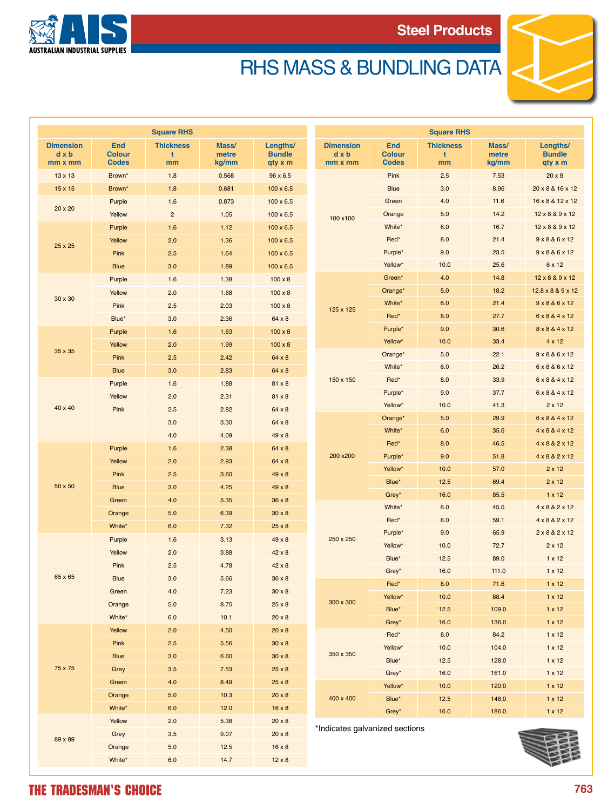



## RHS MASS & BUNDLING DATA

| <b>Square RHS</b>                           |                                             |                             |                         |                                      | <b>Square RHS</b>                  |                                             |                             |                         |                                      |  |
|---------------------------------------------|---------------------------------------------|-----------------------------|-------------------------|--------------------------------------|------------------------------------|---------------------------------------------|-----------------------------|-------------------------|--------------------------------------|--|
| <b>Dimension</b><br>$d \times b$<br>mm x mm | <b>End</b><br><b>Colour</b><br><b>Codes</b> | <b>Thickness</b><br>t<br>mm | Mass/<br>metre<br>kg/mm | Lengths/<br><b>Bundle</b><br>qty x m | <b>Dimension</b><br>dxb<br>mm x mm | <b>End</b><br><b>Colour</b><br><b>Codes</b> | <b>Thickness</b><br>t<br>mm | Mass/<br>metre<br>kg/mm | Lengths/<br><b>Bundle</b><br>qty x m |  |
| 13 x 13                                     | Brown*                                      | 1.8                         | 0.568                   | 96 x 6.5                             | 100 x100                           | Pink                                        | 2.5                         | 7.53                    | $20 \times 8$                        |  |
| 15 x 15                                     | Brown*                                      | 1.8                         | 0.681                   | $100 \times 6.5$                     |                                    | <b>Blue</b>                                 | 3.0                         | 8.96                    | 20 x 8 & 16 x 12                     |  |
| 20 x 20                                     | Purple                                      | 1.6                         | 0.873                   | $100 \times 6.5$                     |                                    | Green                                       | 4.0                         | 11.6                    | 16 x 8 & 12 x 12                     |  |
|                                             | Yellow                                      | $\overline{2}$              | 1.05                    | $100 \times 6.5$                     |                                    | Orange                                      | 5.0                         | 14.2                    | 12 x 8 & 9 x 12                      |  |
| 25 x 25                                     | Purple                                      | 1.6                         | 1.12                    | $100 \times 6.5$                     |                                    | White*                                      | 6.0                         | 16.7                    | 12 x 8 & 9 x 12                      |  |
|                                             | Yellow                                      | 2.0                         | 1.36                    | $100 \times 6.5$                     |                                    | Red*                                        | 8.0                         | 21.4                    | 9 x 8 & 6 x 12                       |  |
|                                             | Pink                                        | 2.5                         | 1.64                    | $100 \times 6.5$                     |                                    | Purple*                                     | 9.0                         | 23.5                    | 9 x 8 & 6 x 12                       |  |
|                                             | <b>Blue</b>                                 | 3.0                         | 1.89                    | $100 \times 6.5$                     |                                    | Yellow*                                     | 10.0                        | 25.6                    | 6 x 12                               |  |
| 30 x 30                                     | Purple                                      | 1.6                         | 1.38                    | $100 \times 8$                       | 125 x 125                          | Green*                                      | 4.0                         | 14.8                    | 12 x 8 & 9 x 12                      |  |
|                                             | Yellow                                      | 2.0                         | 1.68                    | $100 \times 8$                       |                                    | Orange*                                     | 5.0                         | 18.2                    | 12.8 x 8 & 9 x 12                    |  |
|                                             | Pink                                        | 2.5                         | 2.03                    | $100 \times 8$                       |                                    | White*                                      | 6.0                         | 21.4                    | 9 x 8 & 6 x 12                       |  |
|                                             | Blue*                                       | 3.0                         | 2.36                    | 64 x 8                               |                                    | Red*                                        | 8.0                         | 27.7                    | 6 x 8 & 4 x 12                       |  |
|                                             | Purple                                      | 1.6                         | 1.63                    | $100 \times 8$                       |                                    | Purple*                                     | 9.0                         | 30.6                    | 8 x 8 & 4 x 12                       |  |
| 35 x 35                                     | Yellow                                      | 2.0                         | 1.99                    | $100 \times 8$                       |                                    | Yellow*                                     | 10.0                        | 33.4                    | $4 \times 12$                        |  |
|                                             | Pink                                        | 2.5                         | 2.42                    | 64 x 8                               |                                    | Orange*                                     | 5.0                         | 22.1                    | 9 x 8 & 6 x 12                       |  |
|                                             | <b>Blue</b>                                 | 3.0                         | 2.83                    | 64 x 8                               |                                    | White*                                      | 6.0                         | 26.2                    | 6 x 8 & 6 x 12                       |  |
|                                             | Purple                                      | 1.6                         | 1.88                    | 81 x 8                               | 150 x 150                          | Red*                                        | 8.0                         | 33.9                    | 6 x 8 & 4 x 12                       |  |
|                                             | Yellow                                      | 2.0                         | 2.31                    | 81 x 8                               |                                    | Purple*                                     | 9.0                         | 37.7                    | 6 x 8 & 4 x 12                       |  |
| 40 x 40                                     | Pink                                        | 2.5                         | 2.82                    | 64 x 8                               |                                    | Yellow*                                     | 10.0                        | 41.3                    | $2 \times 12$                        |  |
|                                             |                                             | 3.0                         | 3.30                    | 64 x 8                               | 200 x200                           | Orange*                                     | 5.0                         | 29.9                    | 6 x 8 & 4 x 12                       |  |
|                                             |                                             | 4.0                         | 4.09                    | $49 \times 8$                        |                                    | White*                                      | 6.0                         | 35.6                    | 4 x 8 & 4 x 12                       |  |
| 50 x 50                                     | Purple                                      | 1.6                         | 2.38                    | 64 x 8                               |                                    | Red*                                        | 8.0                         | 46.5                    | 4 x 8 & 2 x 12                       |  |
|                                             | Yellow                                      | 2.0                         | 2.93                    | 64 x 8                               |                                    | Purple*                                     | 9.0                         | 51.8                    | 4 x 8 & 2 x 12                       |  |
|                                             | Pink                                        | 2.5                         | 3.60                    | $49 \times 8$                        |                                    | Yellow*                                     | 10.0                        | 57.0                    | $2 \times 12$                        |  |
|                                             | <b>Blue</b>                                 | 3.0                         | 4.25                    | $49 \times 8$                        |                                    | Blue*                                       | 12.5                        | 69.4                    | $2 \times 12$                        |  |
|                                             | Green                                       | 4.0                         | 5.35                    | $36 \times 8$                        |                                    | Grey*                                       | 16.0                        | 85.5                    | $1 \times 12$                        |  |
|                                             | Orange                                      | 5.0                         | 6.39                    | $30 \times 8$                        | 250 x 250                          | White*                                      | 6.0                         | 45.0                    | 4 x 8 & 2 x 12                       |  |
|                                             | White*                                      | 6.0                         | 7.32                    | $25 \times 8$                        |                                    | Red*                                        | 8.0                         | 59.1                    | 4 x 8 & 2 x 12                       |  |
|                                             | Purple                                      | 1.6                         | 3.13                    | $49 \times 8$                        |                                    | Purple*                                     | 9.0                         | 65.9                    | 2 x 8 & 2 x 12                       |  |
|                                             | Yellow                                      | 2.0                         | 3.88                    | 42 x 8                               |                                    | Yellow*                                     | 10.0                        | 72.7                    | $2 \times 12$                        |  |
|                                             | Pink                                        | 2.5                         | 4.78                    | $42 \times 8$                        |                                    | Blue*                                       | 12.5                        | 89.0                    | $1 \times 12$                        |  |
| 65 x 65                                     | <b>Blue</b>                                 | 3.0                         | 5.66                    | $36 \times 8$                        |                                    | Grey*                                       | 16.0                        | 111.0                   | $1 \times 12$                        |  |
|                                             | Green                                       | 4.0                         | 7.23                    | $30 \times 8$                        |                                    | Red*                                        | $\bf 8.0$                   | 71.6                    | $1 \times 12$                        |  |
|                                             | Orange                                      | 5.0                         | 8.75                    | $25 \times 8$                        | 300 x 300                          | Yellow*                                     | 10.0                        | 88.4                    | $1 \times 12$                        |  |
|                                             | White*                                      | 6.0                         | 10.1                    | $20 \times 8$                        |                                    | Blue*                                       | 12.5                        | 109.0                   | $1 \times 12$                        |  |
| 75 x 75                                     | Yellow                                      | 2.0                         | 4.50                    | $20 \times 8$                        | 350 x 350<br>400 x 400             | Grey*                                       | 16.0                        | 136.0                   | $1 \times 12$                        |  |
|                                             | Pink                                        | 2.5                         | 5.56                    | $30 \times 8$                        |                                    | Red*                                        | 8.0                         | 84.2                    | $1 \times 12$                        |  |
|                                             | <b>Blue</b>                                 | 3.0                         | 6.60                    | $30 \times 8$                        |                                    | Yellow*                                     | 10.0                        | 104.0                   | $1 \times 12$                        |  |
|                                             | Grey                                        | 3.5                         | 7.53                    | $25 \times 8$                        |                                    | Blue*                                       | 12.5                        | 128.0                   | $1 \times 12$                        |  |
|                                             | Green                                       | 4.0                         | 8.49                    | $25 \times 8$                        |                                    | Grey*                                       | 16.0                        | 161.0                   | $1 \times 12$                        |  |
|                                             | Orange                                      | 5.0                         | 10.3                    | $20 \times 8$                        |                                    | Yellow*<br>Blue*                            | 10.0                        | 120.0                   | $1 \times 12$                        |  |
|                                             | White*                                      | 6.0                         | 12.0                    | $16 \times 8$                        |                                    | Grey*                                       | 12.5<br>16.0                | 148.0<br>186.0          | $1 \times 12$                        |  |
| 89 x 89                                     | Yellow                                      | 2.0                         | 5.38                    | $20 \times 8$                        |                                    |                                             |                             |                         | $1 \times 12$                        |  |
|                                             | Grey                                        | 3.5                         | 9.07                    | $20 \times 8$                        | *Indicates galvanized sections     |                                             |                             |                         |                                      |  |
|                                             | Orange                                      | 5.0                         | 12.5                    | $16 \times 8$                        |                                    |                                             |                             |                         |                                      |  |
|                                             | White*                                      | 6.0                         | 14.7                    | $12 \times 8$                        |                                    |                                             |                             |                         |                                      |  |
|                                             |                                             |                             |                         |                                      |                                    |                                             |                             |                         |                                      |  |